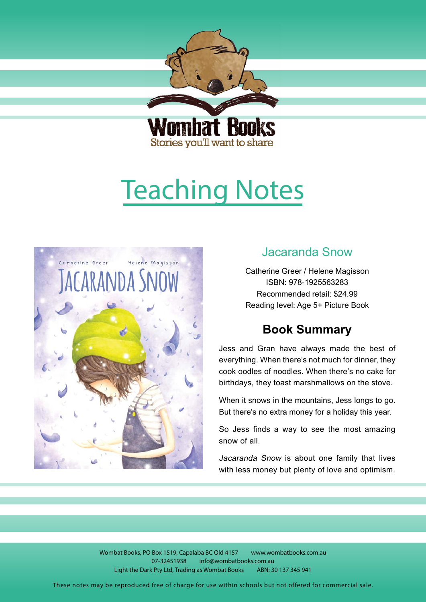<span id="page-0-0"></span>

Stories you'll want to share

# Teaching Notes



## Jacaranda Snow

Catherine Greer / Helene Magisson ISBN: 978-1925563283 Recommended retail: \$24.99 Reading level: Age 5+ Picture Book

## **Book Summary**

Jess and Gran have always made the best of everything. When there's not much for dinner, they cook oodles of noodles. When there's no cake for birthdays, they toast marshmallows on the stove.

When it snows in the mountains, Jess longs to go. But there's no extra money for a holiday this year.

So Jess finds a way to see the most amazing snow of all.

Jacaranda Snow is about one family that lives with less money but plenty of love and optimism.

Wombat Books, PO Box 1519, Capalaba BC Qld 4157 www.wombatbooks.com.au 07-32451938 info@wombatbooks.com.au Light the Dark Pty Ltd, Trading as Wombat Books ABN: 30 137 345 941

These notes may be reproduced free of charge for use within schools but not offered for commercial sale.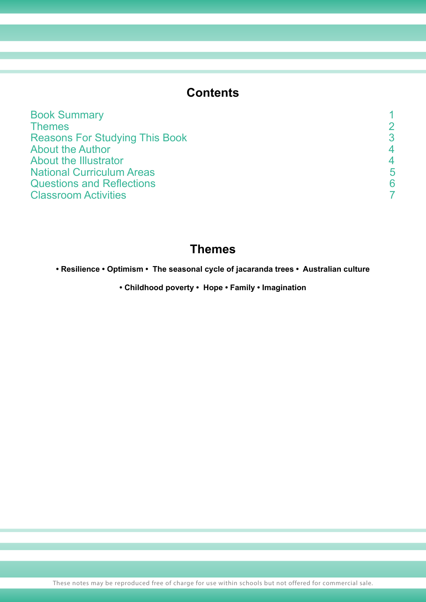## **Contents**

| <b>Themes</b><br><b>Reasons For Studying This Book</b><br><b>About the Author</b><br><b>About the Illustrator</b><br><b>National Curriculum Areas</b><br><b>Questions and Reflections</b><br><b>Classroom Activities</b> | <b>Book Summary</b> |   |
|--------------------------------------------------------------------------------------------------------------------------------------------------------------------------------------------------------------------------|---------------------|---|
|                                                                                                                                                                                                                          |                     |   |
|                                                                                                                                                                                                                          |                     |   |
|                                                                                                                                                                                                                          |                     |   |
|                                                                                                                                                                                                                          |                     |   |
|                                                                                                                                                                                                                          |                     | 5 |
|                                                                                                                                                                                                                          |                     |   |
|                                                                                                                                                                                                                          |                     |   |

## **Themes**

**• Resilience • Optimism • The seasonal cycle of jacaranda trees • Australian culture**

**• Childhood poverty • Hope • Family • Imagination**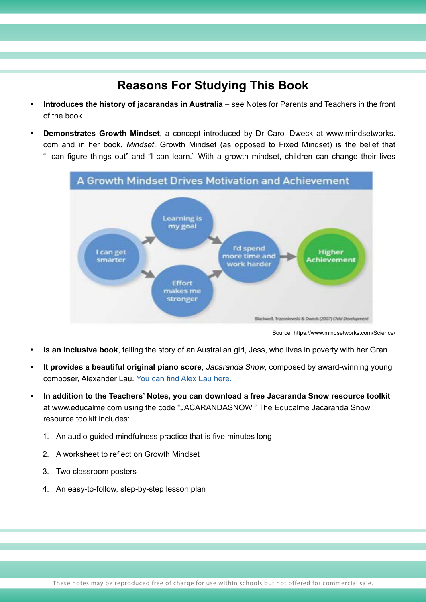## **Reasons For Studying This Book**

- **• Introduces the history of jacarandas in Australia** see Notes for Parents and Teachers in the front of the book.
- **• Demonstrates Growth Mindset**, a concept introduced by Dr Carol Dweck at www.mindsetworks. com and in her book, *Mindset*. Growth Mindset (as opposed to Fixed Mindset) is the belief that "I can figure things out" and "I can learn." With a growth mindset, children can change their lives



Source: https://www.mindsetworks.com/Science/

- **• Is an inclusive book**, telling the story of an Australian girl, Jess, who lives in poverty with her Gran.
- **• It provides a beautiful original piano score**, Jacaranda Snow, composed by award-winning young composer, Alexander Lau. [You can find Alex Lau here.](https://alexanderlau203.wixsite.com/website)
- **• In addition to the Teachers' Notes, you can download a free Jacaranda Snow resource toolkit**  at www.educalme.com using the code "JACARANDASNOW." The Educalme Jacaranda Snow resource toolkit includes:
	- 1. An audio-guided mindfulness practice that is five minutes long
	- 2. A worksheet to reflect on Growth Mindset
	- 3. Two classroom posters
	- 4. An easy-to-follow, step-by-step lesson plan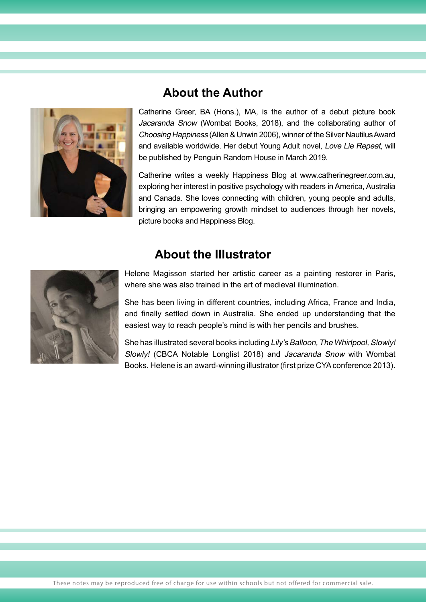<span id="page-3-0"></span>

## **About the Author**

Catherine Greer, BA (Hons.), MA, is the author of a debut picture book Jacaranda Snow (Wombat Books, 2018), and the collaborating author of Choosing Happiness (Allen & Unwin 2006), winner of the Silver Nautilus Award and available worldwide. Her debut Young Adult novel, Love Lie Repeat, will be published by Penguin Random House in March 2019.

Catherine writes a weekly Happiness Blog at www.catherinegreer.com.au, exploring her interest in positive psychology with readers in America, Australia and Canada. She loves connecting with children, young people and adults, bringing an empowering growth mindset to audiences through her novels, picture books and Happiness Blog.

## **About the Illustrator**



Helene Magisson started her artistic career as a painting restorer in Paris, where she was also trained in the art of medieval illumination.

She has been living in different countries, including Africa, France and India, and finally settled down in Australia. She ended up understanding that the easiest way to reach people's mind is with her pencils and brushes.

She has illustrated several books including Lily's Balloon, The Whirlpool, Slowly! Slowly! (CBCA Notable Longlist 2018) and Jacaranda Snow with Wombat Books. Helene is an award-winning illustrator (first prize CYA conference 2013).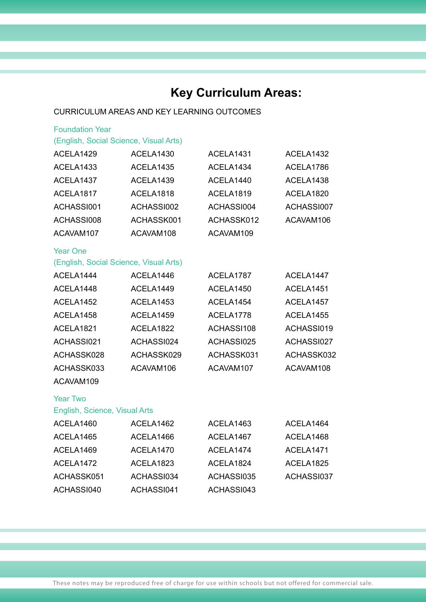## **Key Curriculum Areas:**

#### CURRICULUM AREAS AND KEY LEARNING OUTCOMES

| <b>Foundation Year</b>                 |            |            |            |
|----------------------------------------|------------|------------|------------|
| (English, Social Science, Visual Arts) |            |            |            |
| ACELA1429                              | ACELA1430  | ACELA1431  | ACELA1432  |
| ACELA1433                              | ACELA1435  | ACELA1434  | ACELA1786  |
| ACELA1437                              | ACELA1439  | ACELA1440  | ACELA1438  |
| ACELA <sub>1817</sub>                  | ACELA1818  | ACELA1819  | ACELA1820  |
| ACHASSI001                             | ACHASSI002 | ACHASSI004 | ACHASSI007 |
| ACHASSI008                             | ACHASSK001 | ACHASSK012 | ACAVAM106  |
| ACAVAM107                              | ACAVAM108  | ACAVAM109  |            |
| <b>Year One</b>                        |            |            |            |
| (English, Social Science, Visual Arts) |            |            |            |
| ACELA1444                              | ACELA1446  | ACELA1787  | ACELA1447  |
| ACELA1448                              | ACELA1449  | ACELA1450  | ACELA1451  |
| ACELA1452                              | ACELA1453  | ACELA1454  | ACELA1457  |
| ACELA1458                              | ACELA1459  | ACELA1778  | ACELA1455  |
| ACELA1821                              | ACELA1822  | ACHASSI108 | ACHASSI019 |
| ACHASSI021                             | ACHASSI024 | ACHASSI025 | ACHASSI027 |
| ACHASSK028                             | ACHASSK029 | ACHASSK031 | ACHASSK032 |
| ACHASSK033                             | ACAVAM106  | ACAVAM107  | ACAVAM108  |
| ACAVAM109                              |            |            |            |
| <b>Year Two</b>                        |            |            |            |
| English, Science, Visual Arts          |            |            |            |
| ACELA1460                              | ACELA1462  | ACELA1463  | ACELA1464  |
| ACELA1465                              | ACELA1466  | ACELA1467  | ACELA1468  |
| ACELA1469                              | ACELA1470  | ACELA1474  | ACELA1471  |
| ACELA1472                              | ACELA1823  | ACELA1824  | ACELA1825  |
| ACHASSK051                             | ACHASSI034 | ACHASSI035 | ACHASSI037 |
| ACHASSI040                             | ACHASSI041 | ACHASSI043 |            |
|                                        |            |            |            |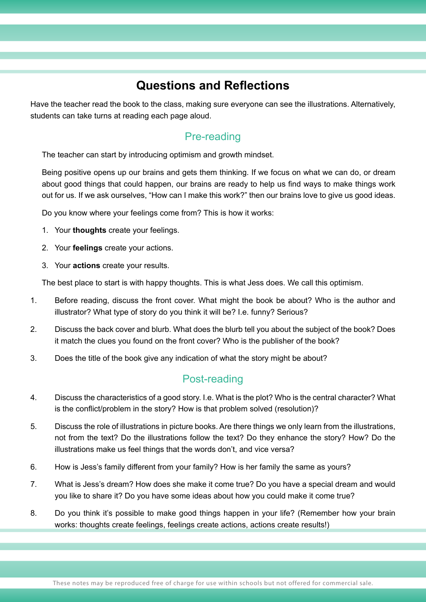## **Questions and Reflections**

<span id="page-5-0"></span>Have the teacher read the book to the class, making sure everyone can see the illustrations. Alternatively, students can take turns at reading each page aloud.

### Pre-reading

The teacher can start by introducing optimism and growth mindset.

Being positive opens up our brains and gets them thinking. If we focus on what we can do, or dream about good things that could happen, our brains are ready to help us find ways to make things work out for us. If we ask ourselves, "How can I make this work?" then our brains love to give us good ideas.

Do you know where your feelings come from? This is how it works:

- 1. Your **thoughts** create your feelings.
- 2. Your **feelings** create your actions.
- 3. Your **actions** create your results.

The best place to start is with happy thoughts. This is what Jess does. We call this optimism.

- 1. Before reading, discuss the front cover. What might the book be about? Who is the author and illustrator? What type of story do you think it will be? I.e. funny? Serious?
- 2. Discuss the back cover and blurb. What does the blurb tell you about the subject of the book? Does it match the clues you found on the front cover? Who is the publisher of the book?
- 3. Does the title of the book give any indication of what the story might be about?

#### Post-reading

- 4. Discuss the characteristics of a good story. I.e. What is the plot? Who is the central character? What is the conflict/problem in the story? How is that problem solved (resolution)?
- 5. Discuss the role of illustrations in picture books. Are there things we only learn from the illustrations, not from the text? Do the illustrations follow the text? Do they enhance the story? How? Do the illustrations make us feel things that the words don't, and vice versa?
- 6. How is Jess's family different from your family? How is her family the same as yours?
- 7. What is Jess's dream? How does she make it come true? Do you have a special dream and would you like to share it? Do you have some ideas about how you could make it come true?
- 8. Do you think it's possible to make good things happen in your life? (Remember how your brain works: thoughts create feelings, feelings create actions, actions create results!)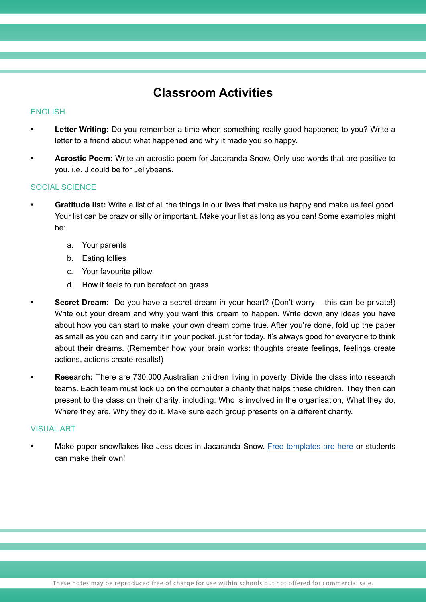## **Classroom Activities**

#### **ENGLISH**

- **• Letter Writing:** Do you remember a time when something really good happened to you? Write a letter to a friend about what happened and why it made you so happy.
- **• Acrostic Poem:** Write an acrostic poem for Jacaranda Snow. Only use words that are positive to you. i.e. J could be for Jellybeans.

#### SOCIAL SCIENCE

- **Gratitude list:** Write a list of all the things in our lives that make us happy and make us feel good. Your list can be crazy or silly or important. Make your list as long as you can! Some examples might be:
	- a. Your parents
	- b. Eating lollies
	- c. Your favourite pillow
	- d. How it feels to run barefoot on grass
	- **•• Secret Dream:** Do you have a secret dream in your heart? (Don't worry this can be private!) Write out your dream and why you want this dream to happen. Write down any ideas you have about how you can start to make your own dream come true. After you're done, fold up the paper as small as you can and carry it in your pocket, just for today. It's always good for everyone to think about their dreams. (Remember how your brain works: thoughts create feelings, feelings create actions, actions create results!)
		- **• Research:** There are 730,000 Australian children living in poverty. Divide the class into research teams. Each team must look up on the computer a charity that helps these children. They then can present to the class on their charity, including: Who is involved in the organisation, What they do, Where they are, Why they do it. Make sure each group presents on a different charity.

#### VISUAL ART

Make paper snowflakes like Jess does in Jacaranda Snow. [Free templates are here](https://www.firstpalette.com/tool_box/printables/snowflake.html) or students can make their own!